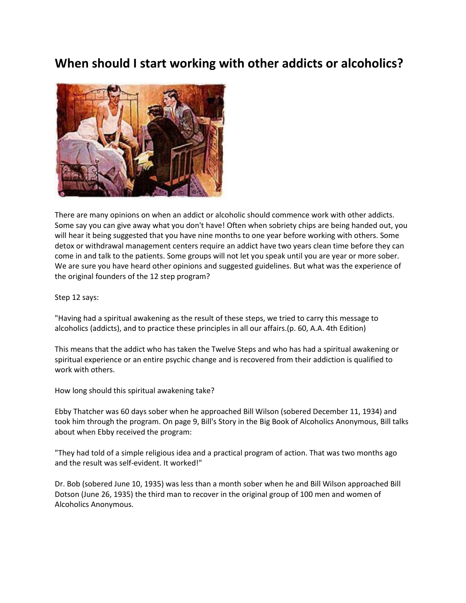## **When should I start working with other addicts or alcoholics?**



There are many opinions on when an addict or alcoholic should commence work with other addicts. Some say you can give away what you don't have! Often when sobriety chips are being handed out, you will hear it being suggested that you have nine months to one year before working with others. Some detox or withdrawal management centers require an addict have two years clean time before they can come in and talk to the patients. Some groups will not let you speak until you are year or more sober. We are sure you have heard other opinions and suggested guidelines. But what was the experience of the original founders of the 12 step program?

Step 12 says:

"Having had a spiritual awakening as the result of these steps, we tried to carry this message to alcoholics (addicts), and to practice these principles in all our affairs.(p. 60, A.A. 4th Edition)

This means that the addict who has taken the Twelve Steps and who has had a spiritual awakening or spiritual experience or an entire psychic change and is recovered from their addiction is qualified to work with others.

How long should this spiritual awakening take?

Ebby Thatcher was 60 days sober when he approached Bill Wilson (sobered December 11, 1934) and took him through the program. On page 9, Bill's Story in the Big Book of Alcoholics Anonymous, Bill talks about when Ebby received the program:

"They had told of a simple religious idea and a practical program of action. That was two months ago and the result was self-evident. It worked!"

Dr. Bob (sobered June 10, 1935) was less than a month sober when he and Bill Wilson approached Bill Dotson (June 26, 1935) the third man to recover in the original group of 100 men and women of Alcoholics Anonymous.